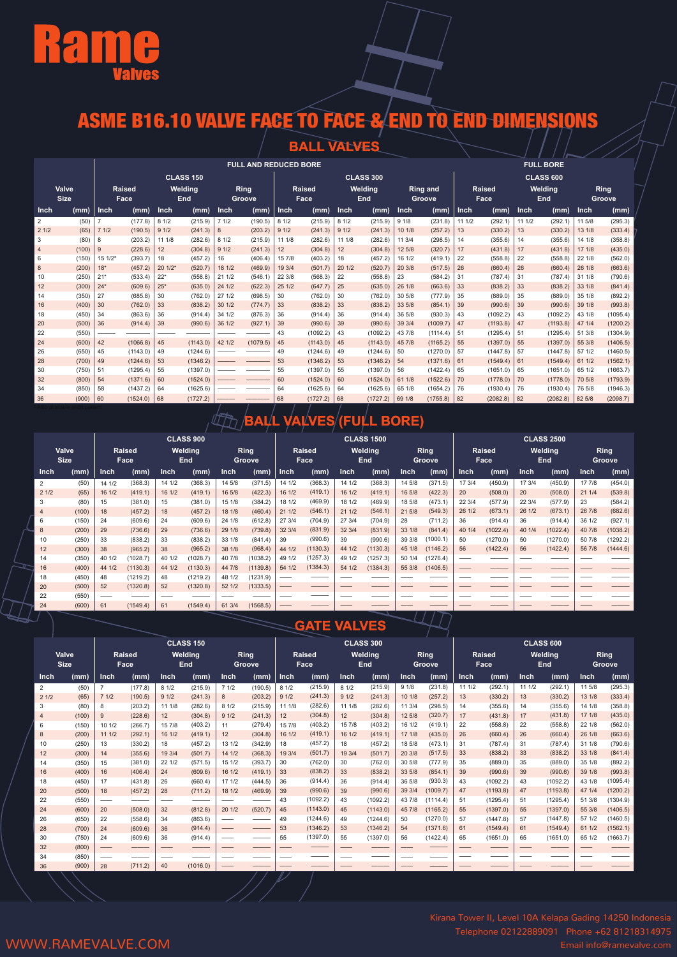

## ASME B16.10 VALVE FACE TO FACE & END TO END DIMENSIONS

|                |                      |          |                 |             |                  |        |                              |             | <b>BALL VALVES</b>    |        |                  |        |                           |             |                       |        |                  |        |                |
|----------------|----------------------|----------|-----------------|-------------|------------------|--------|------------------------------|-------------|-----------------------|--------|------------------|--------|---------------------------|-------------|-----------------------|--------|------------------|--------|----------------|
|                |                      |          |                 |             |                  |        | <b>FULL AND REDUCED BORE</b> |             |                       |        |                  |        |                           |             |                       |        | <b>FULL BORE</b> |        |                |
|                |                      |          |                 |             | <b>CLASS 150</b> |        |                              |             |                       |        | <b>CLASS 300</b> |        |                           |             |                       |        | <b>CLASS 600</b> |        |                |
|                | Valve<br><b>Size</b> |          | Raised<br>Face, |             | Welding<br>End   |        | Ring<br>Groove               |             | <b>Raised</b><br>Face |        | Welding<br>End   |        | <b>Ring and</b><br>Groove |             | <b>Raised</b><br>Face |        | Welding<br>End   |        | Ring<br>Groove |
| Inch           | (mm)                 | Inch     | (mm)            | <b>Inch</b> | (mm)             | Inch   | (mm)                         | <b>Inch</b> | (mm)                  | Inch   | (mm)             | Inch   | (mm)                      | <b>Inch</b> | (mm)                  | Inch   | (mm)             | Inch.  | (mm)           |
| 2              | (50)                 |          | (177.8)         | 8 1/2       | (215.9)          | 71/2   | (190.5)                      | 81/2        | (215.9)               | 81/2   | (215.9)          | 91/8   | (231.8)                   | 11 1/2      | (292.1)               | 11 1/2 | (292.1)          | 11 5/8 | (295.3)        |
| 21/2           | (65)                 | 71/2     | (190.5)         | 91/2        | (241.3)          | 8      | (203.2)                      | 91/2        | (241.3)               | 91/2   | (241.3)          | 10 1/8 | (257.2)                   | 13          | (330.2)               | 13     | (330.2)          | 13 1/8 | (333.4)        |
| 3              | (80)                 | 8        | (203.2)         | 11 1/8      | (282.6)          | 81/2   | (215.9)                      | 11 1/8      | (282.6)               | 11 1/8 | (282.6)          | 11 3/4 | (298.5)                   | 14          | (355.6)               | 14     | (355.6)          | 14 1/8 | (358.8)        |
| $\overline{4}$ | (100)                | 9        | (228.6)         | 12          | (304.8)          | 91/2   | (241.3)                      | 12          | (304.8)               | 12     | (304.8)          | 12 5/8 | (320.7)                   | 17          | (431.8)               | 17     | (431.8)          | 17 1/8 | (435.0)        |
| 6              | (150)                | $151/2*$ | (393.7)         | 18          | (457.2)          | 16     | (406.4)                      | 15 7/8      | (403.2)               | 18     | (457.2)          | 16 1/2 | (419.1)                   | 22          | (558.8)               | 22     | (558.8)          | 22 1/8 | (562.0)        |
| 8              | (200)                | $18*$    | (457.2)         | $201/2*$    | (520.7)          | 18 1/2 | (469.9)                      | 19 3/4      | (501.7)               | 20 1/2 | (520.7)          | 20 3/8 | (517.5)                   | 26          | (660.4)               | 26     | (660.4)          | 26 1/8 | (663.6)        |
| 10             | (250)                | $21*$    | (533.4)         | $22*$       | (558.8)          | 21 1/2 | (546.1)                      | 22 3/8      | (568.3)               | 22     | (558.8)          | 23     | (584.2)                   | 31          | (787.4)               | 31     | (787.4)          | 31 1/8 | (790.6)        |
| 12             | (300)                | $24*$    | (609.6)         | $25*$       | (635.0)          | 24 1/2 | (622.3)                      | 25 1/2      | (647.7)               | 25     | (635.0)          | 26 1/8 | (663.6)                   | 33          | (838.2)               | 33     | (838.2)          | 33 1/8 | (841.4)        |
| 14             | (350)                | 27       | (685.8)         | 30          | (762.0)          | 27 1/2 | (698.5)                      | 30          | (762.0)               | 30     | (762.0)          | 30 5/8 | (777.9)                   | 35          | (889.0)               | 35     | (889.0)          | 35 1/8 | (892.2)        |
| 16             | (400)                | 30       | (762.0)         | 33          | (838.2)          | 30 1/2 | (774.7)                      | 33          | (838.2)               | 33     | (838.2)          | 33 5/8 | (854.1)                   | 39          | (990.6)               | 39     | (990.6)          | 39 1/8 | (993.8)        |
| 18             | (450)                | 34       | (863.6)         | 36          | (914.4)          | 34 1/2 | (876.3)                      | 36          | (914.4)               | 36     | (914.4)          | 36 5/8 | (930.3)                   | 43          | (1092.2)              | 43     | (1092.2)         | 43 1/8 | (1095.4)       |
| 20             | (500)                | 36       | (914.4)         | 39          | (990.6)          | 36 1/2 | (927.1)                      | 39          | (990.6)               | 39     | (990.6)          | 39 3/4 | (1009.7)                  | 47          | (1193.8)              | 47     | (1193.8)         | 47 1/4 | (1200.2)       |
| 22             | (550)                |          |                 |             |                  |        |                              | 43          | (1092.2)              | 43     | (1092.2)         | 43 7/8 | (1114.4)                  | 51          | (1295.4)              | 51     | (1295.4)         | 51 3/8 | (1304.9)       |
| 24             | (600)                | 42       | (1066.8)        | 45          | (1143.0)         | 42 1/2 | (1079.5)                     | 45          | (1143.0)              | 45     | (1143.0)         | 45 7/8 | (1165.2)                  | 55          | (1397.0)              | 55     | (1397.0)         | 55 3/8 | (1406.5)       |
| 26             | (650)                | 45       | (1143.0)        | 49          | (1244.6)         |        |                              | 49          | (1244.6)              | 49     | (1244.6)         | 50     | (1270.0)                  | 57          | (1447.8)              | 57     | (1447.8)         | 57 1/2 | (1460.5)       |
| 28             | (700)                | 49       | (1244.6)        | 53          | (1346.2)         |        |                              | 53          | (1346.2)              | 53     | (1346.2)         | 54     | (1371.6)                  | 61          | (1549.4)              | 61     | (1549.4)         | 61 1/2 | (1562.1)       |
| 30             | (750)                | 51       | (1295.4)        | 55          | (1397.0)         |        |                              | 55          | (1397.0)              | 55     | (1397.0)         | 56     | (1422.4)                  | 65          | (1651.0)              | 65     | (1651.0)         | 65 1/2 | (1663.7)       |
| 32             | (800)                | 54       | (1371.6)        | 60          | (1524.0)         |        |                              | 60          | (1524.0)              | 60     | (1524.0)         | 61 1/8 | (1522.6)                  | 70          | (1778.0)              | 70     | (1778.0)         | 70 5/8 | (1793.9)       |
| 34             | (850)                | 58       | (1437.2)        | 64          | (1625.6)         |        |                              | 64          | (1625.6)              | 64     | (1625.6)         | 65 1/8 | (1654.2)                  | 76          | (1930.4)              | 76     | (1930.4)         | 76 5/8 | (1946.3)       |
| 36             | (900)                | 60       | (1524.0)        | 68          | (1727.2)         |        |                              | 68          | (1727.2)              | 68     | (1727.2)         | 69 1/8 | (1755.8)                  | 82          | (2082.8)              | 82     | (2082.8)         | 82 5/8 | (2098.7)       |

### **BALL VALVES (FULL BORE)**

|                |                      |        | <b>CLASS 900</b> |        |                |             |                       |             |                       |        | <b>CLASS 1500</b>            |        |                 |        |                       |             | <b>CLASS 2500</b> |        |                |
|----------------|----------------------|--------|------------------|--------|----------------|-------------|-----------------------|-------------|-----------------------|--------|------------------------------|--------|-----------------|--------|-----------------------|-------------|-------------------|--------|----------------|
|                | Valve<br><b>Size</b> |        | Raised<br>Face   |        | Weldina<br>End |             | <b>Ring</b><br>Groove |             | <b>Raised</b><br>Face |        | <b>Welding</b><br><b>End</b> |        | Ring<br>Groove, |        | <b>Raised</b><br>Face |             | Weldina<br>End    |        | Ring<br>Groove |
| Inch           | (mm)                 | Inch   | (mm)             | Inch   | (mm)           | <b>Inch</b> | (mm)                  | <b>Inch</b> | (mm)                  | Inch   | (mm)                         | Inch   | (mm)            | Inch   | (mm)                  | <b>Inch</b> | (mm)              | Inch   | (mm)           |
| $\overline{2}$ | (50)                 | 14 1/2 | (368.3)          | 14 1/2 | (368.3)        | 14 5/8      | (371.5)               | 14 1/2      | (368.3)               | 14 1/2 | (368.3)                      | 14 5/8 | (371.5)         | 17 3/4 | (450.9)               | 17 3/4      | (450.9)           | 17 7/8 | (454.0)        |
| 21/2           | (65)                 | 16 1/2 | (419.1)          | 16 1/2 | (419.1)        | 16 5/8      | (422.3)               | 16 1/2      | (419.1)               | 16 1/2 | (419.1)                      | 16 5/8 | (422.3)         | 20     | (508.0)               | 20          | (508.0)           | 21 1/4 | (539.8)        |
| 3              | (80)                 | 15     | (381.0)          | 15     | (381.0)        | 15 1/8      | (384.2)               | 18 1/2      | (469.9)               | 18 1/2 | (469.9)                      | 18 5/8 | (473.1)         | 22 3/4 | (577.9)               | 22 3/4      | (577.9)           | 23     | (584.2)        |
|                | (100)                | 18     | (457.2)          | 18     | (457.2)        | 18 1/8      | (460.4)               | 21 1/2      | (546.1)               | 21 1/2 | (546.1)                      | 21 5/8 | (549.3)         | 26 1/2 | (673.1)               | 26 1/2      | (673.1)           | 26 7/8 | (682.6)        |
| 6              | (150)                | 24     | (609.6)          | 24     | (609.6)        | 24 1/8      | (612.8)               | 27 3/4      | (704.9)               | 27 3/4 | (704.9)                      | 28     | (711.2)         | 36     | (914.4)               | 36          | (914.4)           | 36 1/2 | (927.1)        |
| 8              | (200)                | 29     | (736.6)          | 29     | (736.6)        | 29 1/8      | (739.8)               | 32 3/4      | (831.9)               | 32 3/4 | (831.9)                      | 33 1/8 | (841.4)         | 40 1/4 | (1022.4)              | 40 1/4      | (1022.4)          | 40 7/8 | (1038.2)       |
| 10             | (250)                | 33     | (838.2)          | 33     | (838.2)        | 33 1/8      | (841.4)               | 39          | (990.6)               | 39     | (990.6)                      | 39 3/8 | (1000.1)        | 50     | (1270.0)              | 50          | (1270.0)          | 50 7/8 | (1292.2)       |
| 12             | (300)                | 38     | (965.2)          | 38     | (965.2)        | 38 1/8      | (968.4)               | 44 1/2      | (1130.3)              | 44 1/2 | (1130.3)                     | 45 1/8 | (1146.2)        | 56     | (1422.4)              | 56          | (1422.4)          | 56 7/8 | (1444.6)       |
| 14             | (350)                | 40 1/2 | (1028.7)         | 40 1/2 | 1028.7         | 40 7/8      | (1038.2)              | 49 1/2      | (1257.3)              | 49 1/2 | (1257.3)                     | 50 1/4 | (1276.4)        |        |                       |             |                   |        |                |
| 16             | (400)                | 44 1/2 | (1130.3)         | 44 1/2 | (1130.3)       | 44 7/8      | (1139.8)              | 54 1/2      | (1384.3)              | 54 1/2 | (1384.3)                     | 55 3/8 | (1406.5)        |        |                       |             |                   |        |                |
| 18             | (450)                | 48     | (1219.2)         | 48     | (1219.2)       | 48 1/2      | (1231.9)              |             |                       |        |                              |        |                 |        |                       |             |                   |        |                |
| 20             | (500)                | 52     | (1320.8)         | 52     | (1320.8)       | 52 1/2      | (1333.5)              |             |                       |        |                              |        |                 |        |                       |             |                   |        |                |
| 22             | (550)                |        |                  |        |                |             |                       |             |                       |        |                              |        |                 |        |                       |             |                   |        |                |
| 24             | (600)                | 61     | (1549.4)         | 61     | (1549.4)       | 61 3/4      | (1568.5)              |             |                       |        |                              |        |                 |        |                       |             |                   |        |                |

#### **GATE VALVES**

 $\sqrt{17}$ 

|                |                      |                | <b>CLASS 150</b>      |        |                |              |                       |        |                       |             | <b>CLASS 300</b> |             |                       |             |                       |        | <b>CLASS 600</b> |        |                       |
|----------------|----------------------|----------------|-----------------------|--------|----------------|--------------|-----------------------|--------|-----------------------|-------------|------------------|-------------|-----------------------|-------------|-----------------------|--------|------------------|--------|-----------------------|
|                | Valve<br><b>Size</b> |                | <b>Raised</b><br>Face |        | Welding<br>End |              | <b>Ring</b><br>Groove |        | <b>Raised</b><br>Face |             | Welding<br>End   |             | <b>Ring</b><br>Groove |             | <b>Raised</b><br>Face |        | Welding<br>End   |        | <b>Ring</b><br>Groove |
| Inch           | (mm)                 | Inch           | (mm)                  | Inch   | (mm)           | Inch         | (mm)                  | Inch   | (mm)                  | <b>Inch</b> | (mm)             | <b>Inch</b> | (mm)                  | <b>Inch</b> | (mm)                  | Inch   | (mm)             | Inch   | (mm)                  |
| $\overline{2}$ | (50)                 | $\overline{7}$ | (177.8)               | 81/2   | (215.9)        | 71/2         | (190.5)               | 8 1/2  | (215.9)               | 81/2        | (215.9)          | 91/8        | (231.8)               | 11 1/2      | (292.1)               | 11 1/2 | (292.1)          | 11 5/8 | (295.3)               |
| 21/2           | (65)                 | 71/2           | (190.5)               | 91/2   | (241.3)        | $\mathbf{8}$ | (203.2)               | 91/2   | (241.3)               | 91/2        | (241.3)          | 10 1/8      | (257.2)               | 13          | (330.2)               | 13     | (330.2)          | 13 1/8 | (333.4)               |
| 3              | (80)                 | 8              | (203.2)               | 11 1/8 | (282.6)        | 81/2         | (215.9)               | 11 1/8 | (282.6)               | 11 1/8      | (282.6)          | 11 3/4      | (298.5)               | 14          | (355.6)               | 14     | (355.6)          | 14 1/8 | (358.8)               |
| $\overline{4}$ | (100)                | 9              | (228.6)               | 12     | (304.8)        | 91/2         | (241.3)               | 12     | (304.8)               | 12          | (304.8)          | 12 5/8      | (320.7)               | 17          | (431.8)               | 17     | (431.8)          | 17 1/8 | (435.0)               |
| 6              | (150)                | 10 1/2         | (266.7)               | 15 7/8 | (403.2)        | 11           | (279.4)               | 15 7/8 | (403.2)               | 15 7/8      | (403.2)          | 16 1/2      | (419.1)               | 22          | (558.8)               | 22     | (558.8)          | 22 1/8 | (562.0)               |
| 8              | (200)                | 111/2          | (292.1)               | 16 1/2 | (419.1)        | 12           | (304.8)               | 16 1/2 | (419.1)               | 16 1/2      | (419.1)          | 17 1/8      | (435.0)               | 26          | (660.4)               | 26     | (660.4)          | 26 1/8 | (663.6)               |
| 10             | (250)                | 13             | (330.2)               | 18     | (457.2)        | 13 1/2       | (342.9)               | 18     | (457.2)               | 18          | (457.2)          | 18 5/8      | (473.1)               | 31          | (787.4)               | 31     | (787.4)          | 31 1/8 | (790.6)               |
| 12             | (300)                | 14             | (355.6)               | 19 3/4 | (501.7)        | 14 1/2       | (368.3)               | 19 3/4 | (501.7)               | 19 3/4      | (501.7)          | 20 3/8      | (517.5)               | 33          | (838.2)               | 33     | (838.2)          | 33 1/8 | (841.4)               |
| 14             | (350)                | 15             | (381.0)               | 22 1/2 | (571.5)        | 15 1/2       | (393.7)               | 30     | (762.0)               | 30          | (762.0)          | 30 5/8      | (777.9)               | 35          | (889.0)               | 35     | (889.0)          | 35 1/8 | (892.2)               |
| 16             | (400)                | 16             | (406.4)               | 24     | (609.6)        | 16 1/2       | (419.1)               | 33     | (838.2)               | 33          | (838.2)          | 33 5/8      | (854.1)               | 39          | (990.6)               | 39     | (990.6)          | 39 1/8 | (993.8)               |
| 18             | (450)                | 17             | (431.8)               | 26     | (660.4)        | 17 1/2       | (444.5)               | 36     | (914.4)               | 36          | (914.4)          | 36 5/8      | (930.3)               | 43          | (1092.2)              | 43     | (1092.2)         | 43 1/8 | (1095.4)              |
| 20             | (500)                | 18             | (457.2)               | 28     | (711.2)        | 18 1/2       | (469.9)               | 39     | (990.6)               | 39          | (990.6)          | 39 3/4      | (1009.7)              | 47          | (1193.8)              | 47     | (1193.8)         | 47 1/4 | (1200.2)              |
| 22             | (550)                |                |                       | $-$    |                |              |                       | 43     | (1092.2)              | 43          | (1092.2)         | 43 7/8      | (1114.4)              | 51          | (1295.4)              | 51     | (1295.4)         | 51 3/8 | (1304.9)              |
| 24             | (600)                | 20             | (508.0)               | 32     | (812.8)        | 20 1/2       | (520.7)               | 45     | (1143.0)              | 45          | (1143.0)         | 45 7/8      | (1165.2)              | 55          | (1397.0)              | 55     | (1397.0)         | 55 3/8 | (1406.5)              |
| 26             | (650)                | 22             | (558.6)               | 34     | (863.6)        |              |                       | 49     | (1244.6)              | 49          | (1244.6)         | 50          | (1270.0)              | 57          | (1447.8)              | 57     | (1447.8)         | 57 1/2 | (1460.5)              |
| 28             | (700)                | 24             | (609.6)               | 36     | (914.4)        |              |                       | 53     | (1346.2)              | 53          | (1346.2)         | 54          | (1371.6)              | 61          | (1549.4)              | 61     | (1549.4)         | 61 1/2 | (1562.1)              |
| 30             | (750)                | 24             | (609.6)               | 36     | (914.4)        | __           |                       | 55     | (1397.0)              | 55          | (1397.0)         | 56          | (1422.4)              | 65          | (1651.0)              | 65     | (1651.0)         | 65 1/2 | (1663.7)              |
| 32             | (800)                |                |                       |        |                |              |                       |        |                       |             |                  |             |                       |             |                       |        |                  |        |                       |
| 34             | (850)                |                |                       |        |                |              |                       |        |                       |             |                  |             |                       |             |                       |        |                  |        |                       |
| 36             | (900)                | 28             | (711.2)               | 40     | (1016.0)       |              |                       |        |                       |             |                  |             |                       |             |                       |        |                  |        |                       |
|                |                      |                |                       |        |                |              |                       |        |                       |             |                  |             |                       |             |                       |        |                  |        |                       |

Kirana Tower II, Level 10A Kelapa Gading 14250 Indonesia Telephone 02122889091 Phone +62 81218314975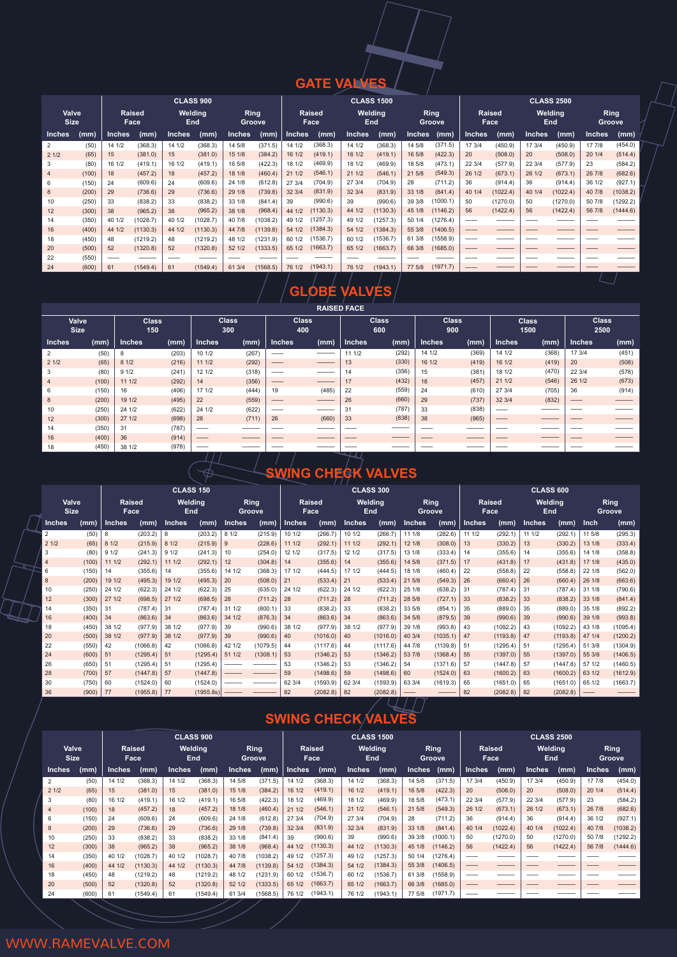### **GATE VALVES**

|                      |       |               |                |               | <b>CLASS 900</b> |                |          |        |                |        | <b>CLASS 1500</b>     |               |                 |               |                       |        | <b>CLASS 2500</b> |               |                       |
|----------------------|-------|---------------|----------------|---------------|------------------|----------------|----------|--------|----------------|--------|-----------------------|---------------|-----------------|---------------|-----------------------|--------|-------------------|---------------|-----------------------|
| Valve<br><b>Size</b> |       |               | Raised<br>Face |               | Welding<br>End   | Ring<br>Groove |          |        | Raised<br>Face |        | Welding<br><b>End</b> |               | Ring<br>Groove, |               | <b>Raised</b><br>Face |        | Weldina<br>End    |               | <b>Ring</b><br>Groove |
| <b>Inches</b>        | (mm)  | <b>Inches</b> | (mm)           | <b>Inches</b> | (mm)             | Inches         | (mm)     | Inches | (mm)           | Inches | (mm)                  | <b>Inches</b> | (mm)            | <b>Inches</b> | (mm)                  | Inches | (mm)              | <b>Inches</b> | (mm)                  |
| $\overline{2}$       | (50)  | 14 1/2        | (368.3)        | 14 1/2        | (368.3)          | 14 5/8         | (371.5)  | 14 1/2 | (368.3)        | 14 1/2 | (368.3)               | 14 5/8        | (371.5)         | 17 3/4        | (450.9)               | 17 3/4 | (450.9)           | 17 7/8        | (454.0)               |
| 21/2                 | (65)  | 15            | (381.0)        | 15            | (381.0)          | 15 1/8         | (384.2)  | 16 1/2 | (419.1)        | 16 1/2 | (419.1)               | 16 5/8        | (422.3)         | 20            | (508.0)               | 20     | (508.0)           | 20 1/4        | (514.4)               |
| 3                    | (80)  | 16 1/2        | (419.1)        | 16 1/2        | (419.1)          | 16 5/8         | (422.3)  | 18 1/2 | (469.9)        | 18 1/2 | (469.9)               | 18 5/8        | (473.1)         | 22 3/4        | (577.9)               | 22 3/4 | (577.9)           | 23            | (584.2)               |
| $\overline{4}$       | (100) | 18            | (457.2)        | 18            | (457.2)          | 18 1/8         | (460.4)  | 21 1/2 | (546.1)        | 21 1/2 | (546.1)               | 21 5/8        | (549.3)         | 26 1/2        | (673.1)               | 26 1/2 | (673.1)           | 26 7/8        | (682.6)               |
| 6                    | (150) | 24            | (609.6)        | 24            | (609.6)          | 24 1/8         | (612.8)  | 27 3/4 | (704.9)        | 27 3/4 | (704.9)               | 28            | (711.2)         | 36            | (914.4)               | 36     | (914.4)           | 36 1/2        | (927.1)               |
| 8                    | (200) | 29            | (736.6)        | 29            | (736.6)          | 29 1/8         | (739.8)  | 32 3/4 | (831.9)        | 32 3/4 | (831.9)               | 33 1/8        | (841.4)         | 40 1/4        | (1022.4)              | 40 1/4 | (1022.4)          | 40 7/8        | (1038.2)              |
| 10                   | (250) | 33            | (838.2)        | 33            | (838.2)          | 33 1/8         | (841.4)  | 39     | (990.6)        | 39     | (990.6)               | 39 3/8        | (1000.1)        | 50            | (1270.0)              | 50     | (1270.0)          | 50 7/8        | (1292.2)              |
| 12                   | (300) | 38            | (965.2)        | 38            | (965.2)          | 38 1/8         | (968.4)  | 44 1/2 | (1130.3)       | 44 1/2 | (1130.3)              | 45 1/8        | (1146.2)        | 56            | (1422.4)              | 56     | (1422.4)          | 56 7/8        | (1444.6)              |
| 14                   | (350) | 40 1/2        | (1028.7)       | 40 1/2        | (1028.7)         | 40 7/8         | (1038.2) | 49 1/2 | (1257.3)       | 49 1/2 | (1257.3)              | 50 1/4        | (1276.4)        |               |                       |        |                   |               |                       |
| 16                   | (400) | 44 1/2        | (1130.3)       | 44 1/2        | (1130.3)         | 44 7/8         | (1139.8) | 54 1/2 | (1384.3)       | 54 1/2 | (1384.3)              | 55 3/8        | (1406.5)        |               |                       |        |                   |               |                       |
| 18                   | (450) | 48            | (1219.2)       | 48            | (1219.2)         | 48 1/2         | (1231.9) | 60 1/2 | (1536.7)       | 60 1/2 | (1536.7)              | 61 3/8        | (1558.9)        |               |                       |        |                   |               |                       |
| 20                   | (500) | 52            | (1320.8)       | 52            | (1320.8)         | 52 1/2         | (1333.5) | 65 1/2 | (1663.7)       | 65 1/2 | (1663.7)              | 66 3/8        | (1685.0)        |               |                       |        |                   |               |                       |
| 22                   | (550) |               |                |               |                  |                |          |        |                |        |                       |               |                 |               |                       |        |                   |               |                       |
| 24                   | (600) | 61            | (1549.4)       | 61            | (1549.4)         | 61 3/4         | (1568.5) | 76 1/2 | (1943.1)       | 76 1/2 | (1943.1)              | 77 5/8        | (1971.7)        |               |                       |        |                   |               |                       |



|                      | <b>RAISED FACE</b> |                     |       |                          |       |                     |       |               |                     |                     |       |                      |       |                      |       |
|----------------------|--------------------|---------------------|-------|--------------------------|-------|---------------------|-------|---------------|---------------------|---------------------|-------|----------------------|-------|----------------------|-------|
| Valve<br><b>Size</b> |                    | <b>Class</b><br>150 |       | <b>Class</b><br>300      |       | <b>Class</b><br>400 |       |               | <b>Class</b><br>600 | <b>Class</b><br>900 |       | <b>Class</b><br>1500 |       | <b>Class</b><br>2500 |       |
| <b>Inches</b>        | (mm)               | <b>Inches</b>       | (mm)  | <b>Inches</b>            | (mm)  | <b>Inches</b>       | (mm)  | <b>Inches</b> | (mm)                | <b>Inches</b>       | (mm)  | <b>Inches</b>        | (mm)  | <b>Inches</b>        | (mm)  |
| 2                    | (50)               | 8                   | (203) | 10 1/2                   | (267) |                     |       | 11 1/2        | (292)               | 14 1/2              | (369) | 14 1/2               | (368) | 17 3/4               | (451) |
| 21/2                 | (65)               | 81/2                | (216) | 111/2                    | (292) | ___                 |       | 13            | (330)               | 16 1/2              | (419) | 16 1/2               | (419) | 20                   | (508) |
| 3                    | (80)               | 91/2                | (241) | 12 1/2                   | (318) |                     |       | 14            | (356)               | 15                  | (381) | 18 1/2               | (470) | 22 3/4               | (578) |
| 4                    | (100)              | 111/2               | (292) | 14                       | (356) |                     |       | 17            | (432)               | 18                  | (457) | 211/2                | (546) | 26 1/2               | (673) |
| 6                    | (150)              | 16                  | (406) | 17 1/2                   | (444) | 19                  | (485) | 22            | (559)               | 24                  | (610) | 27 3/4               | (705) | 36                   | (914) |
| 8                    | (200)              | 19 1/2              | (495) | 22                       | (559) | ——                  |       | 26            | (660)               | 29                  | (737) | 32 3/4               | (832) | ——                   |       |
| 10                   | (250)              | 24 1/2              | (622) | 24 1/2                   | (622) |                     |       | 31            | (787)               | 33                  | (838) | ___                  |       |                      |       |
| 12                   | (300)              | 271/2               | (698) | 28                       | (711) | 26                  | (660) | 33            | (838)               | 38                  | (965) |                      |       |                      |       |
| 14                   | (350)              | 31                  | (787) | ___                      |       |                     |       |               |                     |                     |       |                      |       |                      |       |
| 16                   | (400)              | 36                  | (914) | ——                       |       |                     |       | ___           |                     | __                  |       |                      |       |                      |       |
| 18                   | (450)              | 38 1/2              | (978) | $\overline{\phantom{a}}$ |       |                     |       | — <i>111</i>  |                     |                     |       |                      |       |                      |       |

## **SWING CHECK VALVES**

|                      |       |                       |          |               | <b>CLASS 150</b> |               |                |        |          |               | <b>CLASS 300</b>            |               |                |               |          | <b>CLASS 600</b>      |          |             |                |
|----------------------|-------|-----------------------|----------|---------------|------------------|---------------|----------------|--------|----------|---------------|-----------------------------|---------------|----------------|---------------|----------|-----------------------|----------|-------------|----------------|
| Valve<br><b>Size</b> |       | <b>Raised</b><br>Face |          |               | Welding<br>End   |               | Ring<br>Groove | Face   | Raised   |               | Welding<br>End              |               | Ring<br>Groove | <b>Raised</b> | Face     | Welding<br><b>End</b> |          |             | Ring<br>Groove |
| <b>Inches</b>        | (mm)  | Inches                | (mm)     | <b>Inches</b> | (mm)             | <b>Inches</b> | (mm)           | Inches | (mm)     | <b>Inches</b> | (mm)                        | <b>Inches</b> | (mm)           | <b>Inches</b> | (mm)     | <b>Inches</b>         | (mm)     | <b>Inch</b> | (mm)           |
| $\overline{2}$       | (50)  | 8                     | (203.2)  | 8             | (203.2)          | 8 1/2         | (215.9)        | 10 1/2 | (266.7)  | 10 1/2        | (266.7)                     | 11 1/8        | (282.6)        | 11 1/2        | (292.1)  | 11 1/2                | (292.1)  | 11 5/8      | (295.3)        |
| 21/2                 | (65)  | 81/2                  | (215.9)  | 81/2          | (215.9)          | 9             | (228.6)        | 11 1/2 | (292.1)  | 11 1/2        | (292.1)                     | 12 1/8        | (308.0)        | 13            | (330.2)  | 13                    | (330.2)  | 13 1/8      | (333.4)        |
| 3                    | (80)  | 91/2                  | (241.3)  | 91/2          | (241.3)          | 10            | (254.0)        | 12 1/2 | (317.5)  | 12 1/2        | (317.5)                     | 13 1/8        | (333.4)        | 14            | (355.6)  | 14                    | (355.6)  | 14 1/8      | (358.8)        |
| $\overline{4}$       | (100) | 11 1/2                | (292.1)  | 11 1/2        | (292.1)          | 12            | (304.8)        | 14     | (355.6)  | 14            | (355.6)                     | 14 5/8        | (371.5)        | 17            | (431.8)  | 17                    | (431.8)  | 17 1/8      | (435.0)        |
| 6                    | (150) | 14                    | (355.6)  | 14            | (355.6)          | 14 1/2        | (368.3)        | 17 1/2 | (444.5)  | 17 1/2        | (444.5)                     | 18 1/8        | (460.4)        | 22            | (558.8)  | 22                    | (558.8)  | 22 1/8      | (562.0)        |
| 8                    | (200) | 19 1/2                | (495.3)  | 19 1/2        | (495.3)          | 20            | (508.0)        | 21     | (533.4)  | 21            | (533.4)                     | 21 5/8        | (549.3)        | 26            | (660.4)  | 26                    | (660.4)  | 26 1/8      | (663.6)        |
| 10                   | (250) | 24 1/2                | (622.3)  | 24 1/2        | (622.3)          | 25            | (635.0)        | 24 1/2 | (622.3)  | 24 1/2        | (622.3)                     | 25 1/8        | (638.2)        | 31            | (787.4)  | 31                    | (787.4)  | 31 1/8      | (790.6)        |
| 12                   | (300) | 27 1/2                | (698.5)  | 27 1/2        | (698.5)          | 28            | (711.2)        | 28     | (711.2)  | 28            | (711.2)                     | 28 5/8        | (727.1)        | 33            | (838.2)  | 33                    | (838.2)  | 33 1/8      | (841.4)        |
| 14                   | (350) | 31                    | (787.4)  | 31            | (787.4)          | 31 1/2        | (800.1)        | 33     | (838.2)  | 33            | (838.2)                     | 33 5/8        | (854.1)        | 35            | (889.0)  | 35                    | (889.0)  | 35 1/8      | (892.2)        |
| 16                   | (400) | 34                    | (863.6)  | 34            | (863.6)          | 34 1/2        | (876.3)        | 34     | (863.6)  | 34            | (863.6)                     | 34 5/8        | (879.5)        | 39            | (990.6)  | 39                    | (990.6)  | 39 1/8      | (993.8)        |
| 18                   | (450) | 38 1/2                | (977.9)  | 38 1/2        | (977.9)          | 39            | (990.6)        | 38 1/2 | (977.9)  | 38 1/2        | (977.9)                     | 39 1/8        | (993.8)        | 43            | (1092.2) | 43                    | (1092.2) | 43 1/8      | (1095.4)       |
| 20                   | (500) | 38 1/2                | (977.9)  | 38 1/2        | (977.9)          | 39            | (990.6)        | 40     | (1016.0) | 40            | (1016.0)                    | 40 3/4        | (1035.1)       | 47            | (1193.8) | 47                    | (1193.8) | 47 1/4      | (1200.2)       |
| 22                   | (550) | 42                    | (1066.8) | 42            | (1066.8)         | 42 1/2        | (1079.5)       | 44     | (1117.6) | 44            | (1117.6)                    | 44 7/8        | (1139.8)       | 51            | (1295.4) | 51                    | (1295.4) | 51 3/8      | (1304.9)       |
| 24                   | (600) | 51                    | (1295.4) | 51            | (1295.4)         | 511/2         | (1308.1)       | 53     | (1346.2) | 53            | (1346.2)                    | 53 7/8        | (1368.4)       | 55            | (1397.0) | 55                    | (1397.0) | 55 3/8      | (1406.5)       |
| 26                   | (650) | 51                    | (1295.4) | 51            | (1295.4)         |               |                | 53     | (1346.2) | 53            | (1346.2)                    | 54            | (1371.6)       | 57            | (1447.8) | 57                    | (1447.8) | 57 1/2      | (1460.5)       |
| 28                   | (700) | 57                    | (1447.8) | 57            | (1447.8)         |               |                | 59     | (1498.6) | 59            | (1498.6)                    | 60            | (1524.0)       | 63            | (1600.2) | 63                    | (1600.2) | 63 1/2      | (1612.9)       |
| 30                   | (750) | 60                    | (1524.0) | 60            | (1524.0)         |               |                | 62 3/4 | (1593.9) | 62 3/4        | (1593.9)                    | 63 3/4        | (1619.3)       | 65            | (1651.0) | 65                    | (1651.0) | 65 1/2      | (1663.7)       |
| 36                   | (900) | 77                    | (1955.8) | 77            | (1955.8s)        |               |                | 82     | (2082.8) | 82            | (2082.8)<br>$\, - 1 \, - 1$ |               |                | 82            | (2082.8) | 82                    | (2082.8) |             |                |

# **SWING CHECK VALVES**

|                      |       |               | <b>CLASS 900</b> |               |                       |        |          |        |                       |        | <b>CLASS 1500</b> |               |                |               |                |        | <b>CLASS 2500</b> |               |                |
|----------------------|-------|---------------|------------------|---------------|-----------------------|--------|----------|--------|-----------------------|--------|-------------------|---------------|----------------|---------------|----------------|--------|-------------------|---------------|----------------|
| Valve<br><b>Size</b> |       |               | Raised<br>Face   |               | Welding<br><b>End</b> | Groove | Ring     |        | <b>Raised</b><br>Face | End    | Welding           |               | Ring<br>Groove |               | Raised<br>Face |        | Welding<br>End    |               | Ring<br>Groove |
| <b>Inches</b>        | (mm)  | <b>Inches</b> | (mm)             | <b>Inches</b> | (mm)                  | Inches | (mm)     | Inches | (mm)                  | Inches | (mm)              | <b>Inches</b> | (mm)           | <b>Inches</b> | (mm)           | Inches | (mm)              | <b>Inches</b> | (mm)           |
| 2                    | (50)  | 14 1/2        | (368.3)          | 14 1/2        | (368.3)               | 14 5/8 | (371.5)  | 14 1/2 | (368.3)               | 14 1/2 | (368.3)           | 14 5/8        | (371.5)        | 17 3/4        | (450.9)        | 17 3/4 | (450.9)           | 17 7/8        | (454.0)        |
| 21/2                 | (65)  | 15            | (381.0)          | 15            | (381.0)               | 15 1/8 | (384.2)  | 16 1/2 | (419.1)               | 16 1/2 | (419.1)           | 16 5/8        | (422.3)        | 20            | (508.0)        | 20     | (508.0)           | 20 1/4        | (514.4)        |
| 3                    | (80)  | 16 1/2        | (419.1)          | 16 1/2        | (419.1)               | 16 5/8 | (422.3)  | 18 1/2 | (469.9)               | 18 1/2 | (469.9)           | 18 5/8        | (473.1)        | 22 3/4        | (577.9)        | 22 3/4 | (577.9)           | 23            | (584.2)        |
| 4                    | (100) | 18            | (457.2)          | 18            | (457.2)               | 18 1/8 | (460.4)  | 21 1/2 | (546.1)               | 21 1/2 | (546.1)           | 21 5/8        | (549.3)        | 26 1/2        | (673.1)        | 26 1/2 | (673.1)           | 26 7/8        | (682.6)        |
| 6                    | (150) | 24            | (609.6)          | 24            | (609.6)               | 24 1/8 | (612.8)  | 27 3/4 | (704.9)               | 27 3/4 | (704.9)           | 28            | (711.2)        | 36            | (914.4)        | 36     | (914.4)           | 36 1/2        | (927.1)        |
| 8                    | (200) | 29            | (736.6)          | 29            | (736.6)               | 29 1/8 | (739.8)  | 32 3/4 | (831.9)               | 32 3/4 | (831.9)           | 33 1/8        | (841.4)        | 40 1/4        | (1022.4)       | 40 1/4 | (1022.4)          | 40 7/8        | (1038.2)       |
| 10                   | (250) | 33            | (838.2)          | 33            | (838.2)               | 33 1/8 | (841.4)  | 39     | (990.6)               | 39     | (990.6)           | 39 3/8        | (1000.1)       | 50            | (1270.0)       | 50     | (1270.0)          | 50 7/8        | (1292.2)       |
| 12                   | (300) | 38            | (965.2)          | 38            | (965.2)               | 38 1/8 | (968.4)  | 44 1/2 | (1130.3)              | 44 1/2 | (1130.3)          | 45 1/8        | (1146.2)       | 56            | (1422.4)       | 56     | (1422.4)          | 56 7/8        | (1444.6)       |
| 14                   | (350) | 40 1/2        | (1028.7)         | 40 1/2        | (1028.7)              | 40 7/8 | (1038.2) | 49 1/2 | (1257.3)              | 49 1/2 | (1257.3)          | 50 1/4        | (1276.4)       | ___           |                |        |                   |               |                |
| 16                   | (400) | 44 1/2        | (1130.3)         | 44 1/2        | (1130.3)              | 44 7/8 | (1139.8) | 54 1/2 | (1384.3)              | 54 1/2 | (1384.3)          | 55 3/8        | (1406.5)       |               |                |        |                   |               |                |
| 18                   | (450) | 48            | (1219.2)         | 48            | (1219.2)              | 48 1/2 | (1231.9) | 60 1/2 | (1536.7)              | 60 1/2 | (1536.7)          | 61 3/8        | (1558.9)       |               |                |        |                   |               |                |
| 20                   | (500) | 52            | (1320.8)         | 52            | (1320.8)              | 52 1/2 | (1333.5) | 65 1/2 | (1663.7)              | 65 1/2 | (1663.7)          | 66 3/8        | (1685.0)       | ___           |                |        |                   |               |                |
| 24                   | (600) | 61            | (1549.4)         | 61            | (1549.4)              | 61 3/4 | 1568.5   | 76 1/2 | (1943.1)              | 76 1/2 | (1943.1)          | 77 5/8        | (1971.7)       |               |                |        |                   |               |                |